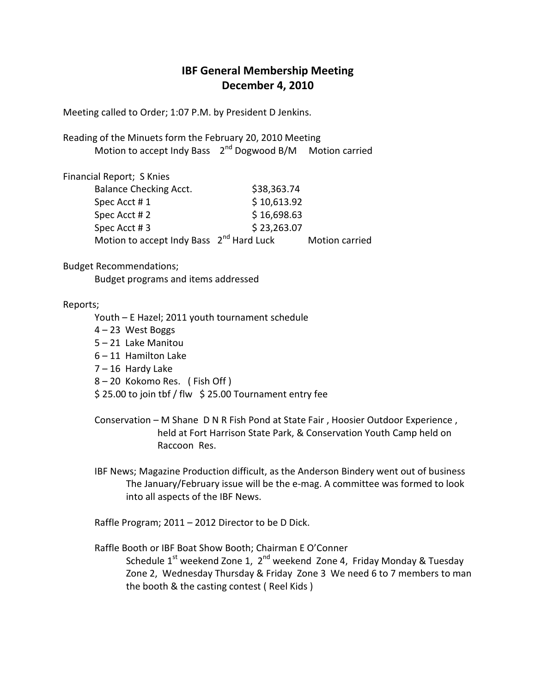## **IBF General Membership Meeting December 4, 2010**

Meeting called to Order; 1:07 P.M. by President D Jenkins.

Reading of the Minuets form the February 20, 2010 Meeting Motion to accept Indy Bass  $2^{nd}$  Dogwood B/M Motion carried

Financial Report; S Knies Balance Checking Acct. \$38,363.74 Spec Acct # 1  $$ 10,613.92$ Spec Acct # 2 \$ 16,698.63 Spec Acct # 3 \$ 23,263.07 Motion to accept Indy Bass 2<sup>nd</sup> Hard Luck Motion carried

Budget Recommendations;

Budget programs and items addressed

## Reports;

- Youth E Hazel; 2011 youth tournament schedule 4 – 23 West Boggs 5 – 21 Lake Manitou 6 – 11 Hamilton Lake 7 – 16 Hardy Lake 8 – 20 Kokomo Res. ( Fish Off )
- $$ 25.00$  to join tbf / flw  $$ 25.00$  Tournament entry fee
- Conservation M Shane D N R Fish Pond at State Fair , Hoosier Outdoor Experience , held at Fort Harrison State Park, & Conservation Youth Camp held on Raccoon Res.
- IBF News; Magazine Production difficult, as the Anderson Bindery went out of business The January/February issue will be the e-mag. A committee was formed to look into all aspects of the IBF News.

Raffle Program; 2011 – 2012 Director to be D Dick.

 Raffle Booth or IBF Boat Show Booth; Chairman E O'Conner Schedule  $1<sup>st</sup>$  weekend Zone 1,  $2<sup>nd</sup>$  weekend Zone 4, Friday Monday & Tuesday Zone 2, Wednesday Thursday & Friday Zone 3 We need 6 to 7 members to man the booth & the casting contest ( Reel Kids )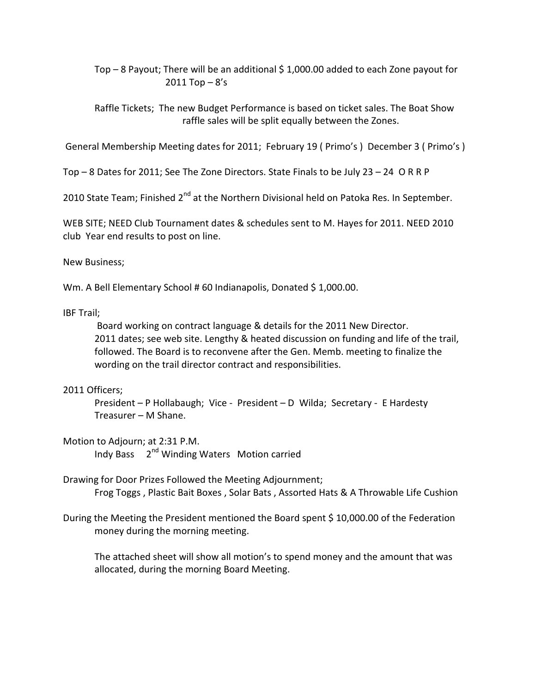Top – 8 Payout; There will be an additional \$ 1,000.00 added to each Zone payout for  $2011$  Top  $-8$ 's

 Raffle Tickets; The new Budget Performance is based on ticket sales. The Boat Show raffle sales will be split equally between the Zones.

General Membership Meeting dates for 2011; February 19 ( Primo's ) December 3 ( Primo's )

Top – 8 Dates for 2011; See The Zone Directors. State Finals to be July 23 – 24 O R R P

2010 State Team; Finished 2<sup>nd</sup> at the Northern Divisional held on Patoka Res. In September.

WEB SITE; NEED Club Tournament dates & schedules sent to M. Hayes for 2011. NEED 2010 club Year end results to post on line.

New Business;

Wm. A Bell Elementary School # 60 Indianapolis, Donated \$1,000.00.

IBF Trail;

 Board working on contract language & details for the 2011 New Director. 2011 dates; see web site. Lengthy & heated discussion on funding and life of the trail, followed. The Board is to reconvene after the Gen. Memb. meeting to finalize the wording on the trail director contract and responsibilities.

## 2011 Officers;

 President – P Hollabaugh; Vice - President – D Wilda; Secretary - E Hardesty Treasurer – M Shane.

Motion to Adjourn; at 2:31 P.M.

Indy Bass 2<sup>nd</sup> Winding Waters Motion carried

Drawing for Door Prizes Followed the Meeting Adjournment;

Frog Toggs , Plastic Bait Boxes , Solar Bats , Assorted Hats & A Throwable Life Cushion

During the Meeting the President mentioned the Board spent \$ 10,000.00 of the Federation money during the morning meeting.

 The attached sheet will show all motion's to spend money and the amount that was allocated, during the morning Board Meeting.